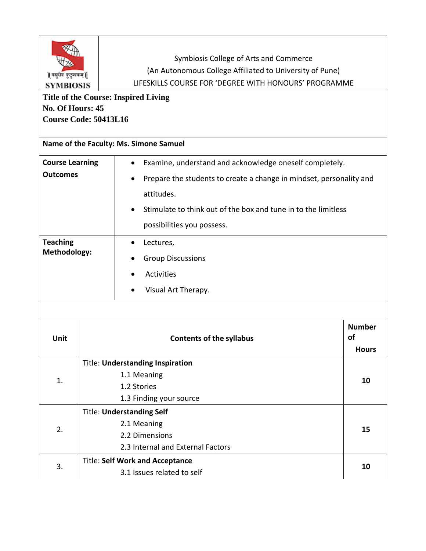| Symbiosis College of Arts and Commerce<br>(An Autonomous College Affiliated to University of Pune)<br>॥ वसुधैव कुटुम्बकम् ॥<br>LIFESKILLS COURSE FOR 'DEGREE WITH HONOURS' PROGRAMME<br><b>SYMBIOSIS</b><br><b>Title of the Course: Inspired Living</b><br>No. Of Hours: 45<br>Course Code: 50413L16<br>Name of the Faculty: Ms. Simone Samuel |                                                                                                        |                                                                                                                                                                                                  |  |  |
|------------------------------------------------------------------------------------------------------------------------------------------------------------------------------------------------------------------------------------------------------------------------------------------------------------------------------------------------|--------------------------------------------------------------------------------------------------------|--------------------------------------------------------------------------------------------------------------------------------------------------------------------------------------------------|--|--|
| <b>Course Learning</b><br><b>Outcomes</b>                                                                                                                                                                                                                                                                                                      | attitudes.<br>possibilities you possess.                                                               | Examine, understand and acknowledge oneself completely.<br>Prepare the students to create a change in mindset, personality and<br>Stimulate to think out of the box and tune in to the limitless |  |  |
| <b>Teaching</b><br><b>Methodology:</b>                                                                                                                                                                                                                                                                                                         | Lectures,<br><b>Group Discussions</b><br>Activities<br>Visual Art Therapy.                             |                                                                                                                                                                                                  |  |  |
| Unit                                                                                                                                                                                                                                                                                                                                           | <b>Contents of the syllabus</b>                                                                        | <b>Number</b><br>of<br><b>Hours</b>                                                                                                                                                              |  |  |
| 1.                                                                                                                                                                                                                                                                                                                                             | <b>Title: Understanding Inspiration</b><br>1.1 Meaning<br>1.2 Stories<br>1.3 Finding your source       | 10                                                                                                                                                                                               |  |  |
| 2.                                                                                                                                                                                                                                                                                                                                             | <b>Title: Understanding Self</b><br>2.1 Meaning<br>2.2 Dimensions<br>2.3 Internal and External Factors | 15                                                                                                                                                                                               |  |  |
| 3.                                                                                                                                                                                                                                                                                                                                             | <b>Title: Self Work and Acceptance</b><br>3.1 Issues related to self                                   | 10                                                                                                                                                                                               |  |  |